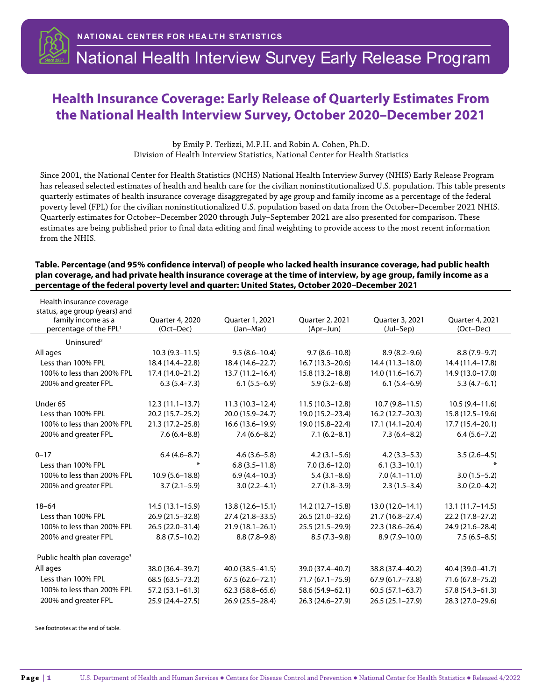

## **Health Insurance Coverage: Early Release of Quarterly Estimates From the National Health Interview Survey, October 2020–December 2021**

by Emily P. Terlizzi, M.P.H. and Robin A. Cohen, Ph.D. Division of Health Interview Statistics, National Center for Health Statistics

Since 2001, the National Center for Health Statistics (NCHS) National Health Interview Survey (NHIS) Early Release Program has released selected estimates of health and health care for the civilian noninstitutionalized U.S. population. This table presents quarterly estimates of health insurance coverage disaggregated by age group and family income as a percentage of the federal poverty level (FPL) for the civilian noninstitutionalized U.S. population based on data from the October–December 2021 NHIS. Quarterly estimates for October–December 2020 through July–September 2021 are also presented for comparison. These estimates are being published prior to final data editing and final weighting to provide access to the most recent information from the NHIS.

## **Table. Percentage (and 95% confidence interval) of people who lacked health insurance coverage, had public health plan coverage, and had private health insurance coverage at the time of interview, by age group, family income as a percentage of the federal poverty level and quarter: United States, October 2020–December 2021**

| Health insurance coverage                           |                     |                     |                     |                     |                    |  |
|-----------------------------------------------------|---------------------|---------------------|---------------------|---------------------|--------------------|--|
| status, age group (years) and<br>family income as a | Quarter 4, 2020     | Quarter 1, 2021     | Quarter 2, 2021     | Quarter 3, 2021     | Quarter 4, 2021    |  |
| percentage of the FPL <sup>1</sup>                  | (Oct-Dec)           | (Jan-Mar)           | (Apr-Jun)           | (Jul–Sep)           | (Oct-Dec)          |  |
| Uninsured <sup>2</sup>                              |                     |                     |                     |                     |                    |  |
| All ages                                            | $10.3(9.3 - 11.5)$  | $9.5(8.6 - 10.4)$   | $9.7(8.6 - 10.8)$   | $8.9(8.2 - 9.6)$    | $8.8(7.9-9.7)$     |  |
| Less than 100% FPL                                  | 18.4 (14.4-22.8)    | 18.4 (14.6-22.7)    | $16.7(13.3 - 20.6)$ | 14.4 (11.3-18.0)    | 14.4 (11.4-17.8)   |  |
| 100% to less than 200% FPL                          | 17.4 (14.0-21.2)    | $13.7(11.2 - 16.4)$ | 15.8 (13.2-18.8)    | $14.0(11.6 - 16.7)$ | 14.9 (13.0-17.0)   |  |
| 200% and greater FPL                                | $6.3(5.4 - 7.3)$    | $6.1(5.5-6.9)$      | $5.9(5.2 - 6.8)$    | $6.1(5.4-6.9)$      | $5.3(4.7-6.1)$     |  |
| Under 65                                            | $12.3(11.1-13.7)$   | $11.3(10.3 - 12.4)$ | $11.5(10.3 - 12.8)$ | $10.7(9.8 - 11.5)$  | $10.5(9.4 - 11.6)$ |  |
| Less than 100% FPL                                  | 20.2 (15.7-25.2)    | 20.0 (15.9-24.7)    | 19.0 (15.2-23.4)    | 16.2 (12.7-20.3)    | 15.8 (12.5-19.6)   |  |
| 100% to less than 200% FPL                          | $21.3(17.2 - 25.8)$ | $16.6(13.6 - 19.9)$ | 19.0 (15.8-22.4)    | $17.1(14.1-20.4)$   | 17.7 (15.4-20.1)   |  |
| 200% and greater FPL                                | $7.6(6.4 - 8.8)$    | $7.4(6.6-8.2)$      | $7.1(6.2 - 8.1)$    | $7.3(6.4 - 8.2)$    | $6.4(5.6 - 7.2)$   |  |
| $0 - 17$                                            | $6.4(4.6-8.7)$      | $4.6(3.6 - 5.8)$    | $4.2(3.1 - 5.6)$    | $4.2(3.3-5.3)$      | $3.5(2.6-4.5)$     |  |
| Less than 100% FPL                                  | ∗                   | $6.8(3.5-11.8)$     | $7.0(3.6 - 12.0)$   | $6.1(3.3-10.1)$     |                    |  |
| 100% to less than 200% FPL                          | $10.9(5.6 - 18.8)$  | $6.9(4.4 - 10.3)$   | $5.4(3.1 - 8.6)$    | $7.0(4.1 - 11.0)$   | $3.0(1.5-5.2)$     |  |
| 200% and greater FPL                                | $3.7(2.1-5.9)$      | $3.0(2.2 - 4.1)$    | $2.7(1.8-3.9)$      | $2.3(1.5-3.4)$      | $3.0(2.0-4.2)$     |  |
| $18 - 64$                                           | $14.5(13.1 - 15.9)$ | $13.8(12.6 - 15.1)$ | 14.2 (12.7-15.8)    | 13.0 (12.0-14.1)    | $13.1(11.7-14.5)$  |  |
| Less than 100% FPL                                  | 26.9 (21.5-32.8)    | 27.4 (21.8-33.5)    | 26.5 (21.0-32.6)    | 21.7 (16.8-27.4)    | 22.2 (17.8-27.2)   |  |
| 100% to less than 200% FPL                          | 26.5 (22.0-31.4)    | $21.9(18.1 - 26.1)$ | 25.5 (21.5-29.9)    | $22.3(18.6 - 26.4)$ | 24.9 (21.6-28.4)   |  |
| 200% and greater FPL                                | $8.8(7.5-10.2)$     | $8.8(7.8-9.8)$      | $8.5(7.3-9.8)$      | $8.9(7.9 - 10.0)$   | $7.5(6.5 - 8.5)$   |  |
| Public health plan coverage <sup>3</sup>            |                     |                     |                     |                     |                    |  |
| All ages                                            | 38.0 (36.4-39.7)    | 40.0 (38.5-41.5)    | 39.0 (37.4-40.7)    | 38.8 (37.4-40.2)    | 40.4 (39.0-41.7)   |  |
| Less than 100% FPL                                  | 68.5 (63.5 - 73.2)  | $67.5(62.6 - 72.1)$ | 71.7 (67.1-75.9)    | 67.9 (61.7–73.8)    | 71.6 (67.8-75.2)   |  |
| 100% to less than 200% FPL                          | $57.2(53.1 - 61.3)$ | $62.3(58.8 - 65.6)$ | 58.6 (54.9-62.1)    | $60.5(57.1 - 63.7)$ | 57.8 (54.3-61.3)   |  |
| 200% and greater FPL                                | 25.9 (24.4-27.5)    | 26.9 (25.5 - 28.4)  | 26.3 (24.6-27.9)    | $26.5(25.1-27.9)$   | 28.3 (27.0-29.6)   |  |

See footnotes at the end of table.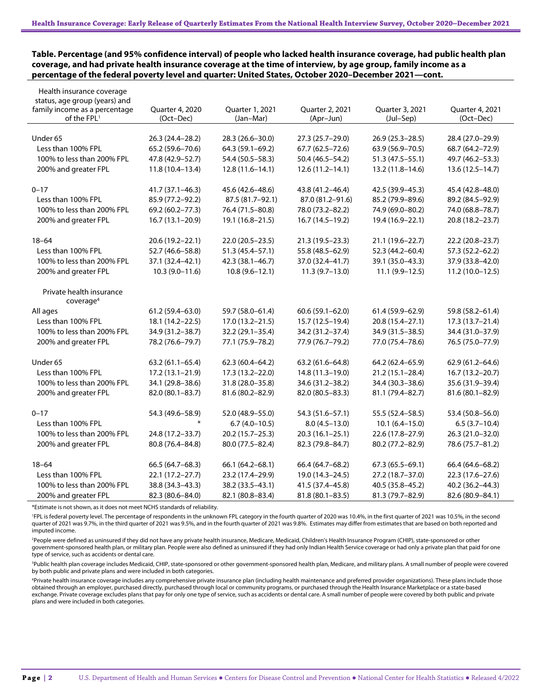**Table. Percentage (and 95% confidence interval) of people who lacked health insurance coverage, had public health plan coverage, and had private health insurance coverage at the time of interview, by age group, family income as a percentage of the federal poverty level and quarter: United States, October 2020–December 2021—cont.**

| Health insurance coverage<br>status, age group (years) and<br>family income as a percentage<br>of the FPL <sup>1</sup> | Quarter 4, 2020<br>(Oct-Dec) | Quarter 1, 2021<br>(Jan-Mar) | Quarter 2, 2021<br>(Apr-Jun) | Quarter 3, 2021<br>(Jul-Sep) | Quarter 4, 2021<br>(Oct-Dec) |  |
|------------------------------------------------------------------------------------------------------------------------|------------------------------|------------------------------|------------------------------|------------------------------|------------------------------|--|
| Under 65                                                                                                               | 26.3 (24.4-28.2)             | 28.3 (26.6-30.0)             | 27.3 (25.7-29.0)             | 26.9 (25.3-28.5)             | 28.4 (27.0-29.9)             |  |
| Less than 100% FPL                                                                                                     | 65.2 (59.6-70.6)             | 64.3 (59.1-69.2)             | 67.7 (62.5-72.6)             | 63.9 (56.9-70.5)             | 68.7 (64.2-72.9)             |  |
| 100% to less than 200% FPL                                                                                             | 47.8 (42.9-52.7)             | 54.4 (50.5-58.3)             | 50.4 (46.5-54.2)             | $51.3(47.5 - 55.1)$          | 49.7 (46.2-53.3)             |  |
| 200% and greater FPL                                                                                                   | $11.8(10.4 - 13.4)$          | $12.8(11.6 - 14.1)$          | $12.6(11.2 - 14.1)$          | 13.2 (11.8-14.6)             | $13.6(12.5 - 14.7)$          |  |
|                                                                                                                        |                              |                              |                              |                              |                              |  |
| $0 - 17$                                                                                                               | $41.7(37.1 - 46.3)$          | 45.6 (42.6-48.6)             | 43.8 (41.2-46.4)             | 42.5 (39.9-45.3)             | 45.4 (42.8-48.0)             |  |
| Less than 100% FPL                                                                                                     | 85.9 (77.2-92.2)             | 87.5 (81.7-92.1)             | 87.0 (81.2-91.6)             | 85.2 (79.9-89.6)             | 89.2 (84.5-92.9)             |  |
| 100% to less than 200% FPL                                                                                             | 69.2 (60.2-77.3)             | 76.4 (71.5-80.8)             | 78.0 (73.2-82.2)             | 74.9 (69.0-80.2)             | 74.0 (68.8-78.7)             |  |
| 200% and greater FPL                                                                                                   | $16.7(13.1 - 20.9)$          | 19.1 (16.8-21.5)             | $16.7(14.5-19.2)$            | 19.4 (16.9-22.1)             | 20.8 (18.2-23.7)             |  |
|                                                                                                                        |                              |                              |                              |                              |                              |  |
| $18 - 64$                                                                                                              | 20.6 (19.2-22.1)             | 22.0 (20.5-23.5)             | 21.3 (19.5 - 23.3)           | 21.1 (19.6-22.7)             | 22.2 (20.8-23.7)             |  |
| Less than 100% FPL                                                                                                     | 52.7 (46.6-58.8)             | 51.3 (45.4-57.1)             | 55.8 (48.5-62.9)             | 52.3 (44.2-60.4)             | 57.3 (52.2-62.2)             |  |
| 100% to less than 200% FPL                                                                                             | 37.1 (32.4-42.1)             | 42.3 (38.1-46.7)             | 37.0 (32.4-41.7)             | 39.1 (35.0-43.3)             | 37.9 (33.8-42.0)             |  |
| 200% and greater FPL                                                                                                   | $10.3(9.0 - 11.6)$           | $10.8(9.6 - 12.1)$           | $11.3(9.7-13.0)$             | $11.1(9.9-12.5)$             | $11.2(10.0-12.5)$            |  |
| Private health insurance<br>coverage <sup>4</sup>                                                                      |                              |                              |                              |                              |                              |  |
| All ages                                                                                                               | $61.2(59.4 - 63.0)$          | 59.7 (58.0-61.4)             | $60.6(59.1 - 62.0)$          | 61.4 (59.9-62.9)             | 59.8 (58.2-61.4)             |  |
| Less than 100% FPL                                                                                                     | 18.1 (14.2-22.5)             | 17.0 (13.2-21.5)             | 15.7 (12.5-19.4)             | 20.8 (15.4-27.1)             | 17.3 (13.7-21.4)             |  |
| 100% to less than 200% FPL                                                                                             | 34.9 (31.2-38.7)             | 32.2 (29.1-35.4)             | 34.2 (31.2-37.4)             | 34.9 (31.5-38.5)             | 34.4 (31.0-37.9)             |  |
| 200% and greater FPL                                                                                                   | 78.2 (76.6-79.7)             | 77.1 (75.9-78.2)             | 77.9 (76.7-79.2)             | 77.0 (75.4-78.6)             | 76.5 (75.0-77.9)             |  |
| Under 65                                                                                                               | $63.2(61.1 - 65.4)$          | $62.3(60.4 - 64.2)$          | $63.2(61.6 - 64.8)$          | 64.2 (62.4-65.9)             | $62.9(61.2 - 64.6)$          |  |
| Less than 100% FPL                                                                                                     | $17.2(13.1 - 21.9)$          | 17.3 (13.2-22.0)             | $14.8(11.3-19.0)$            | $21.2(15.1 - 28.4)$          | 16.7 (13.2-20.7)             |  |
| 100% to less than 200% FPL                                                                                             | 34.1 (29.8–38.6)             | 31.8 (28.0-35.8)             | 34.6 (31.2-38.2)             | 34.4 (30.3-38.6)             | 35.6 (31.9-39.4)             |  |
| 200% and greater FPL                                                                                                   | 82.0 (80.1-83.7)             | 81.6 (80.2-82.9)             | 82.0 (80.5-83.3)             | 81.1 (79.4-82.7)             | 81.6 (80.1-82.9)             |  |
|                                                                                                                        |                              |                              |                              |                              |                              |  |
| $0 - 17$                                                                                                               | 54.3 (49.6-58.9)             | 52.0 (48.9-55.0)             | 54.3 (51.6-57.1)             | 55.5 (52.4-58.5)             | 53.4 (50.8-56.0)             |  |
| Less than 100% FPL                                                                                                     |                              | $6.7(4.0-10.5)$              | $8.0(4.5-13.0)$              | $10.1(6.4 - 15.0)$           | $6.5(3.7-10.4)$              |  |
| 100% to less than 200% FPL                                                                                             | 24.8 (17.2–33.7)             | $20.2(15.7 - 25.3)$          | $20.3(16.1-25.1)$            | 22.6 (17.8-27.9)             | 26.3 (21.0-32.0)             |  |
| 200% and greater FPL                                                                                                   | 80.8 (76.4-84.8)             | 80.0 (77.5-82.4)             | 82.3 (79.8-84.7)             | 80.2 (77.2-82.9)             | 78.6 (75.7-81.2)             |  |
| $18 - 64$                                                                                                              | 66.5 (64.7-68.3)             | 66.1 (64.2-68.1)             | 66.4 (64.7-68.2)             | $67.3(65.5 - 69.1)$          | 66.4 (64.6-68.2)             |  |
| Less than 100% FPL                                                                                                     | $22.1(17.2 - 27.7)$          | 23.2 (17.4-29.9)             | 19.0 (14.3-24.5)             | 27.2 (18.7-37.0)             | 22.3 (17.6-27.6)             |  |
| 100% to less than 200% FPL                                                                                             | 38.8 (34.3-43.3)             | 38.2 (33.5-43.1)             | 41.5 (37.4-45.8)             | 40.5 (35.8-45.2)             | 40.2 (36.2-44.3)             |  |
|                                                                                                                        |                              |                              |                              |                              |                              |  |
| 200% and greater FPL                                                                                                   | 82.3 (80.6-84.0)             | 82.1 (80.8-83.4)             | $81.8(80.1 - 83.5)$          | 81.3 (79.7-82.9)             | 82.6 (80.9-84.1)             |  |

\*Estimate is not shown, as it does not meet NCHS standards of reliability.

1 FPL is federal poverty level. The percentage of respondents in the unknown FPL category in the fourth quarter of 2020 was 10.4%, in the first quarter of 2021 was 10.5%, in the second quarter of 2021 was 9.7%, in the third quarter of 2021 was 9.5%, and in the fourth quarter of 2021 was 9.8%. Estimates may differ from estimates that are based on both reported and imputed income.

2 People were defined as uninsured if they did not have any private health insurance, Medicare, Medicaid, Children's Health Insurance Program (CHIP), state-sponsored or other government-sponsored health plan, or military plan. People were also defined as uninsured if they had only Indian Health Service coverage or had only a private plan that paid for one type of service, such as accidents or dental care.

<sup>3</sup>Public health plan coverage includes Medicaid, CHIP, state-sponsored or other government-sponsored health plan, Medicare, and military plans. A small number of people were covered by both public and private plans and were included in both categories.

4 Private health insurance coverage includes any comprehensive private insurance plan (including health maintenance and preferred provider organizations). These plans include those obtained through an employer, purchased directly, purchased through local or community programs, or purchased through the Health Insurance Marketplace or a state-based exchange. Private coverage excludes plans that pay for only one type of service, such as accidents or dental care. A small number of people were covered by both public and private plans and were included in both categories.